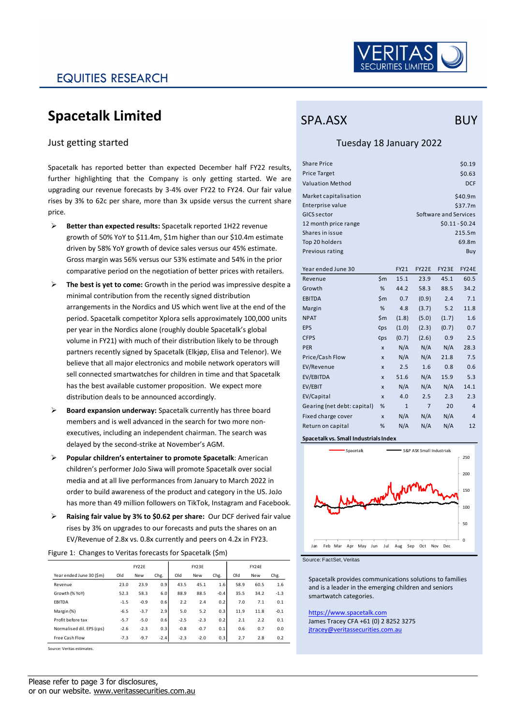

## EQUITIES RESEARCH

# **Spacetalk Limited**

### Just getting started

Spacetalk has reported better than expected December half FY22 results, further highlighting that the Company is only getting started. We are upgrading our revenue forecasts by 3-4% over FY22 to FY24. Our fair value rises by 3% to 62c per share, more than 3x upside versus the current share price.

- ➢ **Better than expected results:** Spacetalk reported 1H22 revenue growth of 50% YoY to \$11.4m, \$1m higher than our \$10.4m estimate driven by 58% YoY growth of device sales versus our 45% estimate. Gross margin was 56% versus our 53% estimate and 54% in the prior comparative period on the negotiation of better prices with retailers.
- ➢ **The best is yet to come:** Growth in the period was impressive despite a minimal contribution from the recently signed distribution arrangements in the Nordics and US which went live at the end of the period. Spacetalk competitor Xplora sells approximately 100,000 units per year in the Nordics alone (roughly double Spacetalk's global volume in FY21) with much of their distribution likely to be through partners recently signed by Spacetalk (Elkjøp, Elisa and Telenor). We believe that all major electronics and mobile network operators will sell connected smartwatches for children in time and that Spacetalk has the best available customer proposition. We expect more distribution deals to be announced accordingly.
- ➢ **Board expansion underway:** Spacetalk currently has three board members and is well advanced in the search for two more nonexecutives, including an independent chairman. The search was delayed by the second-strike at November's AGM.
- ➢ **Popular children's entertainer to promote Spacetalk**: American children's performer JoJo Siwa will promote Spacetalk over social media and at all live performances from January to March 2022 in order to build awareness of the product and category in the US. JoJo has more than 49 million followers on TikTok, Instagram and Facebook.
- ➢ **Raising fair value by 3% to \$0.62 per share:** Our DCF derived fair value rises by 3% on upgrades to our forecasts and puts the shares on an EV/Revenue of 2.8x vs. 0.8x currently and peers on 4.2x in FY23.

|                           | FY22E  |            |        | FY23E  |            |        | FY24F |            |        |  |
|---------------------------|--------|------------|--------|--------|------------|--------|-------|------------|--------|--|
| Year ended June 30 (\$m)  | Old    | <b>New</b> | Chg.   | Old    | <b>New</b> | Chg.   | Old   | <b>New</b> | Chg.   |  |
| Revenue                   | 23.0   | 23.9       | 0.9    | 43.5   | 45.1       | 1.6    | 58.9  | 60.5       | 1.6    |  |
| Growth (% YoY)            | 52.3   | 58.3       | 6.0    | 88.9   | 88.5       | $-0.4$ | 35.5  | 34.2       | $-1.3$ |  |
| <b>FBITDA</b>             | $-1.5$ | $-0.9$     | 0.6    | 2.2    | 2.4        | 0.2    | 7.0   | 7.1        | 0.1    |  |
| Margin (%)                | $-6.5$ | $-3.7$     | 2.9    | 5.0    | 5.2        | 0.3    | 11.9  | 11.8       | $-0.1$ |  |
| Profit before tax         | $-5.7$ | $-5.0$     | 0.6    | $-2.5$ | $-2.3$     | 0.2    | 2.1   | 2.2        | 0.1    |  |
| Normalised dil. EPS (cps) | $-2.6$ | $-2.3$     | 0.3    | $-0.8$ | $-0.7$     | 0.1    | 0.6   | 0.7        | 0.0    |  |
| Free Cash Flow            | $-7.3$ | $-9.7$     | $-2.4$ | $-2.3$ | $-2.0$     | 0.3    | 2.7   | 2.8        | 0.2    |  |

Figure 1: Changes to Veritas forecasts for Spacetalk (\$m)

#### **Surce: Veritas estimates**

### SPA.ASX BUY

### Tuesday 18 January 2022

| <b>Share Price</b>      |     |              |                 |                       | \$0.19     |  |  |  |
|-------------------------|-----|--------------|-----------------|-----------------------|------------|--|--|--|
| <b>Price Target</b>     |     |              |                 |                       | \$0.63     |  |  |  |
| <b>Valuation Method</b> |     |              |                 |                       | <b>DCF</b> |  |  |  |
| Market capitalisation   |     |              |                 |                       | \$40.9m    |  |  |  |
| Enterprise value        |     |              | \$37.7m         |                       |            |  |  |  |
| GICS sector             |     |              |                 | Software and Services |            |  |  |  |
| 12 month price range    |     |              | $$0.11 - $0.24$ |                       |            |  |  |  |
| Shares in issue         |     |              |                 |                       | 215.5m     |  |  |  |
| Top 20 holders          |     |              |                 |                       | 69.8m      |  |  |  |
| Previous rating         |     |              |                 |                       | Buy        |  |  |  |
|                         |     |              |                 |                       |            |  |  |  |
| Year ended June 30      |     | FY21         | FY22E           | FY23E                 | FY24E      |  |  |  |
| Revenue                 | \$m | 15.1         | 23.9            | 45.1                  | 60.5       |  |  |  |
| Growth                  | %   | 44.2         | 58.3            | 88.5                  | 34.2       |  |  |  |
| <b>EBITDA</b>           | \$m | 0.7          | (0.9)           | 2.4                   | 7.1        |  |  |  |
| Margin                  | %   | 4.8          | (3.7)           | 5.2                   | 11.8       |  |  |  |
| <b>NPAT</b>             | \$m | (1.8)        | (5.0)           | (1.7)                 | 1.6        |  |  |  |
| <b>EPS</b>              | ¢ps | (1.0)        | (2.3)           | (0.7)                 | 0.7        |  |  |  |
| <b>CFPS</b>             | ¢ps | (0.7)        | (2.6)           | 0.9                   | 2.5        |  |  |  |
| <b>DED</b>              |     | $N1/\Lambda$ | $N1/\Lambda$    | $N1/\Lambda$          | 202        |  |  |  |

| Revenue                     | 5m                        | 15.1         | 23.9           | 45.1  | 60.5           |
|-----------------------------|---------------------------|--------------|----------------|-------|----------------|
| Growth                      | %                         | 44.2         | 58.3           | 88.5  | 34.2           |
| <b>EBITDA</b>               | \$m                       | 0.7          | (0.9)          | 2.4   | 7.1            |
| Margin                      | %                         | 4.8          | (3.7)          | 5.2   | 11.8           |
| <b>NPAT</b>                 | \$m                       | (1.8)        | (5.0)          | (1.7) | 1.6            |
| <b>EPS</b>                  | ¢ps                       | (1.0)        | (2.3)          | (0.7) | 0.7            |
| <b>CFPS</b>                 | ¢ps                       | (0.7)        | (2.6)          | 0.9   | 2.5            |
| <b>PER</b>                  | X                         | N/A          | N/A            | N/A   | 28.3           |
| Price/Cash Flow             | x                         | N/A          | N/A            | 21.8  | 7.5            |
| EV/Revenue                  | X                         | 2.5          | 1.6            | 0.8   | 0.6            |
| EV/EBITDA                   | X                         | 51.6         | N/A            | 15.9  | 5.3            |
| EV/EBIT                     | $\boldsymbol{\mathsf{x}}$ | N/A          | N/A            | N/A   | 14.1           |
| EV/Capital                  | X                         | 4.0          | 2.5            | 2.3   | 2.3            |
| Gearing (net debt: capital) | %                         | $\mathbf{1}$ | $\overline{7}$ | 20    | $\overline{4}$ |
| Fixed charge cover          | $\boldsymbol{\mathsf{x}}$ | N/A          | N/A            | N/A   | $\overline{4}$ |
| Return on capital           | %                         | N/A          | N/A            | N/A   | 12             |
|                             |                           |              |                |       |                |

**Spacetalk vs. Small Industrials Index**



Source: FactSet, Veritas

Spacetalk provides communications solutions to families and is a leader in the emerging children and seniors smartwatch categories.

[https://www.spacetalk.com](https://www.spacetalk.com/) James Tracey CFA +61 (0) 2 8252 3275 [jtracey@veritassecurities.com.au](mailto:jtracey@veritassecurities.com.au)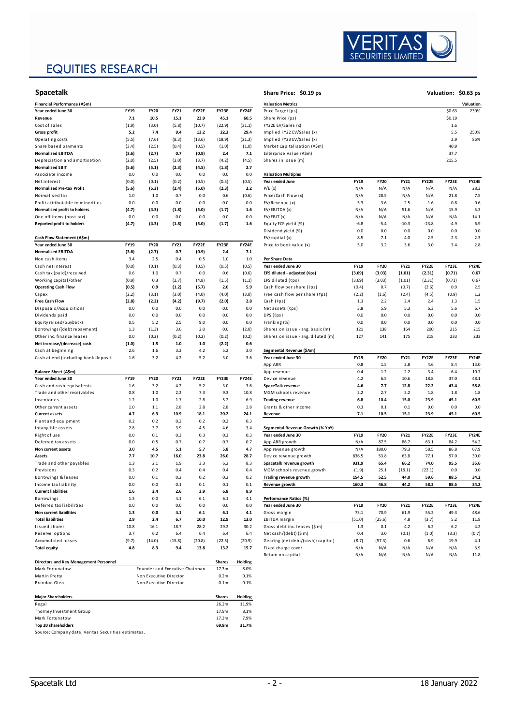# EQUITIES RESEARCH



| Financial Performance (A\$m)           |             |             |             |              |         |              | <b>Valuation Metrics</b>           |             |             |             |         |         | Valuation    |
|----------------------------------------|-------------|-------------|-------------|--------------|---------|--------------|------------------------------------|-------------|-------------|-------------|---------|---------|--------------|
| Year ended June 30                     | FY19        | <b>FY20</b> | <b>FY21</b> | <b>FY22E</b> | FY23E   | <b>FY24E</b> | Price Target (ps)                  |             |             |             |         | \$0.63  | 230%         |
| Revenue                                | 7.1         | 10.5        | 15.1        | 23.9         | 45.1    | 60.5         | Share Price (ps)                   |             |             | \$0.19      |         |         |              |
| Cost of sales                          | (1.9)       | (3.0)       | (5.8)       | (10.7)       | (22.9)  | (31.1)       | FY22E EV/Sales (x)                 |             |             | 1.6         |         |         |              |
| <b>Gross profit</b>                    | 5.2         | 7.4         | 9.4         | 13.2         | 22.3    | 29.4         | Implied FY22 EV/Sales (x)          |             |             |             | 5.5     | 250%    |              |
| Operating costs                        | (5.5)       | (7.6)       | (8.3)       | (13.6)       | (18.9)  | (21.3)       | Implied FY23 EV/Sales (x)          |             |             |             |         | 2.9     | 86%          |
| Share based payments                   | (3.4)       | (2.5)       | (0.4)       | (0.5)        | (1.0)   | (1.0)        | Market Capitalisation (A\$m)       |             |             |             |         | 40.9    |              |
| <b>Normalised EBITDA</b>               | (3.6)       | (2.7)       | 0.7         | (0.9)        | 2.4     | 7.1          | Enterprise Value (A\$m)            |             |             |             |         | 37.7    |              |
| Depreciation and amortisation          | (2.0)       | (2.5)       | (3.0)       | (3.7)        | (4.2)   | (4.5)        | Shares in issue (m)                |             |             |             |         | 215.5   |              |
| <b>Normalised EBIT</b>                 | (5.6)       | (5.1)       | (2.3)       | (4.5)        | (1.8)   | 2.7          |                                    |             |             |             |         |         |              |
| Associate income                       | 0.0         | 0.0         | 0.0         | 0.0          | 0.0     | 0.0          | <b>Valuation Multiples</b>         |             |             |             |         |         |              |
| Net interest                           | (0.0)       | (0.1)       | (0.2)       | (0.5)        | (0.5)   | (0.5)        | Year ended June                    | <b>FY19</b> | <b>FY20</b> | <b>FY21</b> | FY22E   | FY23E   | <b>FY24E</b> |
| <b>Normalised Pre-tax Profit</b>       | (5.6)       | (5.3)       | (2.4)       | (5.0)        | (2.3)   | 2.2          | P/E(x)                             | N/A         | N/A         | N/A         | N/A     | N/A     | 28.3         |
| Normalised tax                         | 1.0         | 1.0         | 0.7         | 0.0          | 0.6     | (0.6)        | Price/Cash Flow (x)                | N/A         | 28.5        | N/A         | N/A     | 21.8    | 7.5          |
| Profit attributable to minorities      | 0.0         | 0.0         | 0.0         | 0.0          | 0.0     | 0.0          | EV/Revenue (x)                     | 5.3         | 3.6         | 2.5         | 1.6     | 0.8     | 0.6          |
| Normalised profit to holders           | (4.7)       | (4.3)       | (1.8)       | (5.0)        | (1.7)   | 1.6          | EV/EBITDA (x)                      | N/A         | N/A         | 51.6        | N/A     | 15.9    | 5.3          |
| One off items (post-tax)               | 0.0         | 0.0         | 0.0         | 0.0          | 0.0     | 0.0          | EV/EBIT(x)                         | N/A         | N/A         | N/A         | N/A     | N/A     | 14.1         |
| <b>Reported profit to holders</b>      | (4.7)       | (4.3)       | (1.8)       | (5.0)        | (1.7)   | $1.6\,$      | Equity FCF yield (%)               | $-6.8$      | $-5.4$      | $-10.3$     | $-23.8$ | $-4.9$  | 6.9          |
|                                        |             |             |             |              |         |              | Dividend yield (%)                 | 0.0         | 0.0         | 0.0         | 0.0     | 0.0     | 0.0          |
| Cash Flow Statement (A\$m)             |             |             |             |              |         |              | EV/capital (x)                     | 8.5         | 7.1         | $4.0$       | 2.5     | 2.3     | 2.3          |
| Year ended June 30                     | FY19        | <b>FY20</b> | FY21        | <b>FY22E</b> | FY23E   | <b>FY24E</b> | Price to book value (x)            | 5.0         | 3.2         | 3.6         | 3.0     | 3.4     | 2.8          |
| <b>Normalised EBITDA</b>               | (3.6)       | (2.7)       | 0.7         | (0.9)        | 2.4     | 7.1          |                                    |             |             |             |         |         |              |
| Non cash items                         | 3.4         | 2.5         | 0.4         | 0.5          | 1.0     | $1.0$        | Per Share Data                     |             |             |             |         |         |              |
| Cash net interest                      | (0.0)       | (0.1)       | (0.3)       | (0.5)        | (0.5)   | (0.5)        | Year ended June 30                 | <b>FY19</b> | <b>FY20</b> | <b>FY21</b> | FY22E   | FY23E   | <b>FY24E</b> |
| Cash tax (paid)/received               | 0.6         | $1.0$       | 0.7         | 0.0          | 0.6     | (0.6)        | EPS diluted - adjusted (¢ps)       | (3.69)      | (3.03)      | (1.01)      | (2.31)  | (0.71)  | 0.67         |
| Working capital/other                  | (0.9)       | 0.3         | (2.7)       | (4.8)        | (1.5)   | (1.1)        | EPS diluted (Cps)                  | (3.69)      | (3.03)      | (1.01)      | (2.31)  | (0.71)  | 0.67         |
| <b>Operating Cash Flow</b>             | (0.5)       | 0.9         | (1.2)       | (5.7)        | 2.0     | 5.9          | Cash flow per share (Cps)          | (0.4)       | 0.7         | (0.7)       | (2.6)   | 0.9     | 2.5          |
| Capex                                  | (2.2)       | (3.1)       | (3.0)       | (4.0)        | (4.0)   | (3.0)        | Free cash flow per share (¢ps)     | (2.2)       | (1.6)       | (2.4)       | (4.5)   | (0.9)   | 1.2          |
| <b>Free Cash Flow</b>                  | (2.8)       | (2.2)       | (4.2)       | (9.7)        | (2.0)   | 2.8          | Cash (Cps)                         | 1.3         | 2.2         | 2.4         | 2.4     | 1.3     | 1.5          |
| Disposals/Acquisitions                 | 0.0         | 0.0         | 0.0         | 0.0          | 0.0     | 0.0          | Net assets (Cps)                   | 3.8         | 5.9         | 5.3         | 6.3     | 5.6     | 6.7          |
| Dividends paid                         | 0.0         | 0.0         | 0.0         | 0.0          | 0.0     | 0.0          | DPS (Cps)                          | 0.0         | 0.0         | 0.0         | 0.0     | 0.0     | 0.0          |
| Equity raised/buybacks                 | 0.5         | 5.2         | 2.5         | 9.0          | 0.0     | 0.0          | Franking (%)                       | 0.0         | 0.0         | 0.0         | 0.0     | 0.0     | 0.0          |
| Borrowings/(debt repayment)            | 1.3         | (1.3)       | 3.0         | 2.0          | 0.0     | (2.0)        | Shares on issue - avg. basic (m)   | 121         | 138         | 164         | 200     | 215     | 215          |
| Other inc. finance leases              | 0.0         | (0.2)       | (0.2)       | (0.2)        | (0.2)   | (0.2)        | Shares on issue - avg. diluted (m) | 127         | 141         | 175         | 218     | 233     | 233          |
| Net increase/(decrease) cash           | (1.0)       | $1.5$       | $1.0\,$     | 1.0          | (2.2)   | 0.6          |                                    |             |             |             |         |         |              |
| Cash at beginning                      | 2.6         | 1.6         | 3.2         | 4.2          | 5.2     | 3.0          | Segmental Revenue (\$Am)           |             |             |             |         |         |              |
| Cash at end (including bank deposit    | 1.6         | 3.2         | 4.2         | 5.2          | 3.0     | 3.6          | Year ended June 30                 | FY19        | <b>FY20</b> | FY21        | FY22E   | FY23E   | <b>FY24E</b> |
|                                        |             |             |             |              |         |              | App ARR                            |             |             |             |         | 8.4     | 13.0         |
|                                        |             |             |             |              |         |              |                                    | 0.8         | $1.5$       | 2.8         | 4.6     |         |              |
| Balance Sheet (A\$m)                   |             |             |             |              |         |              | App revenue                        | 0.4         | $1.2$       | 2.2         | 3.4     | 6.4     | 10.7         |
| Year ended June 30                     | <b>FY19</b> | <b>FY20</b> | FY21        | <b>FY22E</b> | FY23E   | <b>FY24E</b> | Device revenue                     | 4.2         | 6.5         | 10.6        | 18.8    | 37.0    | 48.1         |
| Cash and cash equivalents              | 1.6         | 3.2         | $4.2\,$     | 5.2          | 3.0     | 3.6          | SpaceTalk revenue                  | 4.6         | 7.7         | 12.8        | 22.2    | 43.4    | 58.8         |
| Trade and other receivables            | 0.8         | $1.0$       | 2.2         | 7.3          | 9.3     | 10.8         | MGM schools revenue                | 2.2         | 2.7         | 2.2         | 1.8     | 1.8     | 1.8          |
| Inventories                            | $1.2$       | $1.0\,$     | 1.7         | 2.8          | 5.2     | 6.9          | <b>Trading revenue</b>             | 6.8         | 10.4        | 15.0        | 23.9    | 45.1    | 60.5         |
| Other current assets                   | 1.0         | 1.1         | 2.8         | 2.8          | 2.8     | 2.8          | Grants & other income              | 0.3         | 0.1         | 0.1         | 0.0     | 0.0     | 0.0          |
| <b>Current assets</b>                  | 4.7         | 6.3         | 10.9        | 18.1         | 20.2    | 24.1         | Revenue                            | 7.1         | 10.5        | 15.1        | 23.9    | 45.1    | 60.5         |
| Plant and equipment                    | 0.2         | 0.2         | 0.2         | 0.2          | 0.2     | 0.3          |                                    |             |             |             |         |         |              |
| Intangible assets                      | 2.8         | 3.7         | 3.9         | 4.5          | 4.6     | 3.4          | Segmental Revenue Growth (% YoY)   |             |             |             |         |         |              |
| Right of use                           | 0.0         | 0.1         | 0.3         | 0.3          | 0.3     | 0.3          | Year ended June 30                 | <b>FY19</b> | <b>FY20</b> | FY21        | FY22E   | FY23E   | <b>FY24E</b> |
| Deferred tax assets                    | 0.0         | 0.5         | 0.7         | 0.7          | 0.7     | 0.7          | App ARR growth                     | N/A         | 87.5        | 86.7        | 63.1    | 84.2    | 54.2         |
| Non current assets                     | 3.0         | 4.5         | 5.1         | 5.7          | 5.8     | 4.7          | App revenue growth                 | N/A         | 180.0       | 79.3        | 58.5    | 86.8    | 67.9         |
| Assets                                 | 7.7         | 10.7        | 16.0        | 23.8         | 26.0    | 28.7         | Device revenue growth              | 836.5       | 53.8        | 63.8        | 77.1    | 97.0    | 30.0         |
| Trade and other payables               | 1.3         | 2.1         | 1.9         | 3.3          | 6.2     | 8.3          | Spacetalk revenue growth           | 931.9       | 65.4        | 66.2        | 74.0    | 95.5    | 35.6         |
| Provisions                             | 0.3         | 0.2         | 0.4         | 0.4          | 0.4     | 0.4          | MGM schools revenue growth         | (1.9)       | 25.1        | (18.1)      | (22.1)  | 0.0     | 0.0          |
| Borrowings & leases                    | 0.0         | 0.1         | 0.2         | 0.2          | 0.2     | 0.2          | Trading revenue growth             | 154.5       | 52.5        | 44.0        | 59.6    | 88.5    | 34.2         |
| Income tax liability                   | 0.0         | 0.0         | 0.1         | 0.1          | 0.1     | 0.1          | Revenue growth                     | 160.3       | 46.8        | 44.2        | 58.3    | 88.5    | 34.2         |
| <b>Current liabilities</b>             | $1.6$       | 2.4         | 2.6         | 3.9          | $6.8\,$ | 8.9          |                                    |             |             |             |         |         |              |
| Borrowings                             | 1.3         | 0.0         | 4.1         | 6.1          | 6.1     | 4.1          | Performance Ratios (%)             |             |             |             |         |         |              |
| Deferred tax liabilities               | 0.0         | 0.0         | 0.0         | 0.0          | 0.0     | 0.0          | Year ended June 30                 | <b>FY19</b> | <b>FY20</b> | <b>FY21</b> | FY22E   | FY23E   | <b>FY24E</b> |
| <b>Non current liabilities</b>         | 1.3         | 0.0         | 4.1         | 6.1          | 6.1     | 4.1          | Gross margin                       | 73.1        | 70.9        | 61.9        | 55.2    | 49.3    | 48.6         |
| <b>Total liabilities</b>               | 2.9         | 2.4         | 6.7         | 10.0         | 12.9    | 13.0         | EBITDA margin                      | (51.0)      | (25.6)      | 4.8         | (3.7)   | 5.2     | 11.8         |
| Issued shares                          | 10.8        | 16.1        | 18.7        | 28.2         | 29.2    | 30.2         | Gross debt inc. leases (\$ m)      | 1.3         | 0.1         | 4.2         | 6.2     | $6.2\,$ | 4.2          |
| Reserve options                        | 3.7         | $6.2\,$     | 6.4         | 6.4          | 6.4     | 6.4          | Net cash/(debt) (\$ m)             | 0.4         | 3.0         | (0.1)       | (1.0)   | (3.3)   | (0.7)        |
| Accumulated losses                     | (9.7)       | (14.0)      | (15.8)      | (20.8)       | (22.5)  | (20.9)       | Gearing (net debt/(cash): capital) | (8.7)       | (57.3)      | 0.6         | 6.9     | 19.9    | 4.1          |
| <b>Total equity</b>                    | 4.8         | 8.3         | 9.4         | 13.8         | 13.2    | 15.7         | Fixed charge cover                 | N/A         | N/A         | N/A         | N/A     | N/A     | 3.9          |
| Directors and Key Management Personnel |             |             |             |              | Shares  | Holding      | Return on capital                  | N/A         | N/A         | N/A         | N/A     | N/A     | 11.8         |

| Mark Fortunatow                                     | Founder and Executive Chairman | 17.3m            | 8.0%    |
|-----------------------------------------------------|--------------------------------|------------------|---------|
| Martin Pretty                                       | Non Executive Director         | 0.2 <sub>m</sub> | 0.1%    |
| Brandon Gien                                        | Non Executive Director         | 0.1 <sub>m</sub> | 0.1%    |
|                                                     |                                |                  |         |
| <b>Major Shareholders</b>                           |                                | <b>Shares</b>    | Holding |
| Regal                                               |                                | 26.2m            | 11.9%   |
| Thorney Investment Group                            |                                | 17.9m            | 8.1%    |
| Mark Fortunatow                                     |                                | 17.3m            | 7.9%    |
| Top 20 shareholders                                 |                                | 69.8m            | 31.7%   |
| Source: Company data, Veritas Securities estimates. |                                |                  |         |



**Valuation: \$0.63 ps**